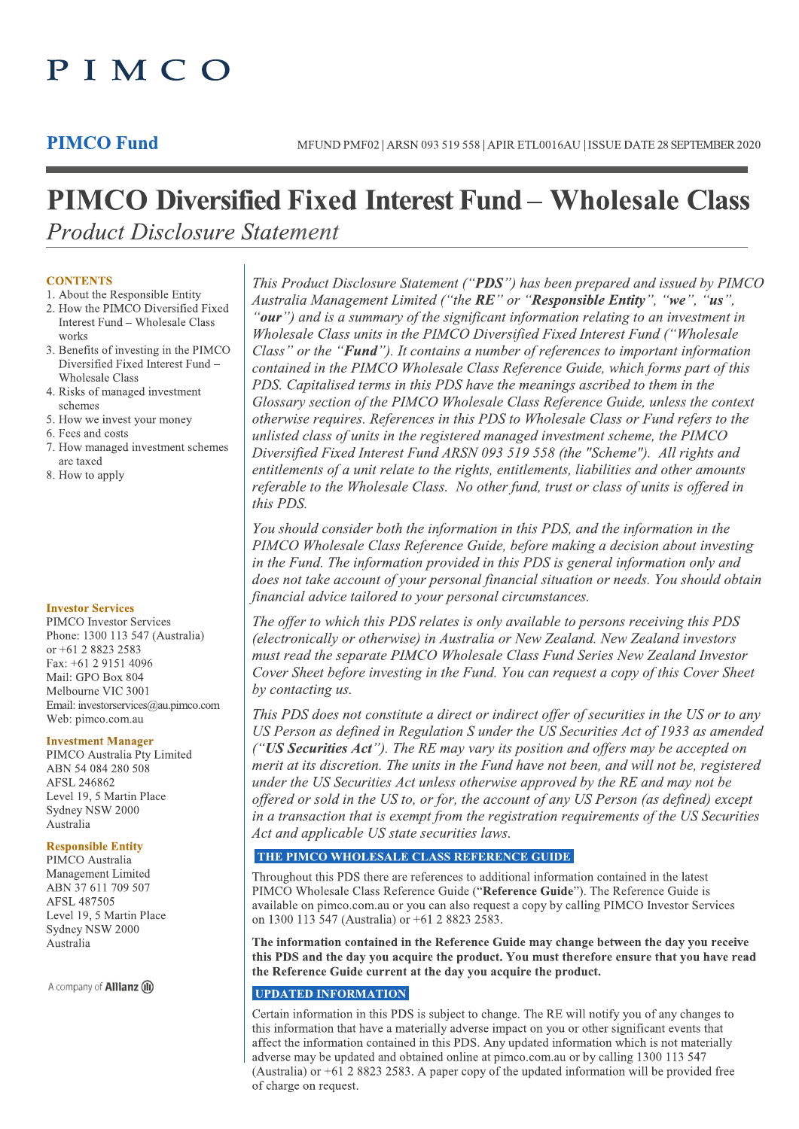# PIMCO

### **PIMCO Fund**

## **PIMCO Diversified Fixed Interest Fund – Wholesale Class Product Disclosure Statement**

#### **CONTENTS**

- 1. About the Responsible Entity 2. How the PIMCO Diversified Fixed Interest Fund - Wholesale Class
- works 3. Benefits of investing in the PIMCO Diversified Fixed Interest Fund -**Wholesale Class**
- 4. Risks of managed investment schemes
- 5. How we invest your money
- 6. Fees and costs
- 7. How managed investment schemes are taxed
- 8. How to apply

#### **Investor Services**

PIMCO Investor Services Phone: 1300 113 547 (Australia) or +61 2 8823 2583 Fax: +61 2 9151 4096 Mail: GPO Box 804 Melbourne VIC 3001 Email: investorservices@au.pimco.com Web: pimco.com.au

#### **Investment Manager**

PIMCO Australia Pty Limited ABN 54 084 280 508 AFSL 246862 Level 19, 5 Martin Place Sydney NSW 2000 Australia

#### **Responsible Entity**

PIMCO Australia Management Limited ABN 37 611 709 507 AFSL 487505 Level 19, 5 Martin Place Sydney NSW 2000 Australia

A company of **Allianz** (iii)

This Product Disclosure Statement ("PDS") has been prepared and issued by PIMCO Australia Management Limited ("the RE" or "Responsible Entity", "we", "us", "our") and is a summary of the significant information relating to an investment in Wholesale Class units in the PIMCO Diversified Fixed Interest Fund ("Wholesale Class" or the "**Fund**"). It contains a number of references to important information contained in the PIMCO Wholesale Class Reference Guide, which forms part of this PDS. Capitalised terms in this PDS have the meanings ascribed to them in the Glossary section of the PIMCO Wholesale Class Reference Guide, unless the context otherwise requires. References in this PDS to Wholesale Class or Fund refers to the unlisted class of units in the registered managed investment scheme, the PIMCO Diversified Fixed Interest Fund ARSN 093 519 558 (the "Scheme"). All rights and entitlements of a unit relate to the rights, entitlements, liabilities and other amounts referable to the Wholesale Class. No other fund, trust or class of units is offered in this PDS.

You should consider both the information in this PDS, and the information in the PIMCO Wholesale Class Reference Guide, before making a decision about investing in the Fund. The information provided in this PDS is general information only and does not take account of your personal financial situation or needs. You should obtain financial advice tailored to your personal circumstances.

The offer to which this PDS relates is only available to persons receiving this PDS (electronically or otherwise) in Australia or New Zealand. New Zealand investors must read the separate PIMCO Wholesale Class Fund Series New Zealand Investor Cover Sheet before investing in the Fund. You can request a copy of this Cover Sheet by contacting us.

This PDS does not constitute a direct or indirect offer of securities in the US or to any US Person as defined in Regulation S under the US Securities Act of 1933 as amended  $(''US$  Securities Act"). The RE may vary its position and offers may be accepted on merit at its discretion. The units in the Fund have not been, and will not be, registered under the US Securities Act unless otherwise approved by the RE and may not be offered or sold in the US to, or for, the account of any US Person (as defined) except in a transaction that is exempt from the registration requirements of the US Securities Act and applicable US state securities laws.

#### THE PIMCO WHOLESALE CLASS REFERENCE GUIDE

Throughout this PDS there are references to additional information contained in the latest PIMCO Wholesale Class Reference Guide ("Reference Guide"). The Reference Guide is available on pimco.com.au or you can also request a copy by calling PIMCO Investor Services on 1300 113 547 (Australia) or +61 2 8823 2583.

The information contained in the Reference Guide may change between the day you receive this PDS and the day you acquire the product. You must therefore ensure that you have read the Reference Guide current at the day you acquire the product.

#### **UPDATED INFORMATION**

Certain information in this PDS is subject to change. The RE will notify you of any changes to this information that have a materially adverse impact on you or other significant events that affect the information contained in this PDS. Any updated information which is not materially adverse may be updated and obtained online at pimco.com.au or by calling 1300 113 547 (Australia) or  $+61$  2 8823 2583. A paper copy of the updated information will be provided free of charge on request.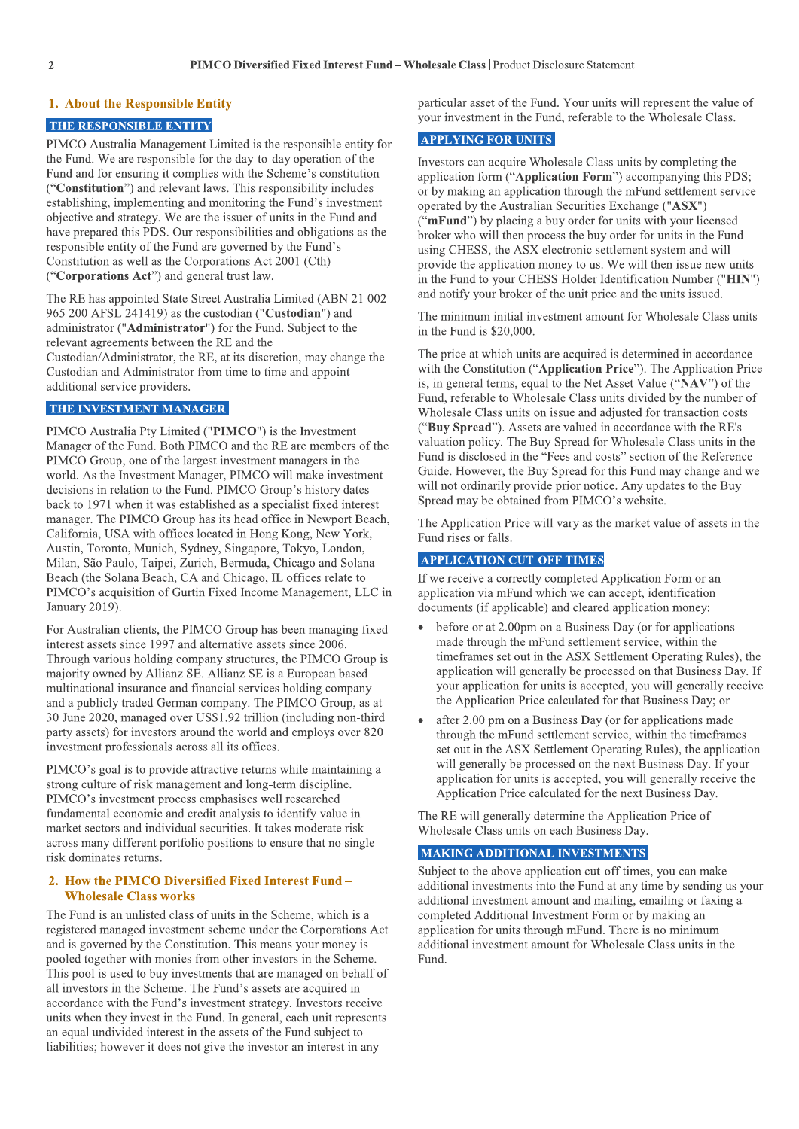#### 1. About the Responsible Entity

#### THE RESPONSIBLE ENTITY

PIMCO Australia Management Limited is the responsible entity for the Fund. We are responsible for the day-to-day operation of the Fund and for ensuring it complies with the Scheme's constitution ("Constitution") and relevant laws. This responsibility includes establishing, implementing and monitoring the Fund's investment objective and strategy. We are the issuer of units in the Fund and have prepared this PDS. Our responsibilities and obligations as the responsible entity of the Fund are governed by the Fund's Constitution as well as the Corporations Act 2001 (Cth) ("Corporations Act") and general trust law.

The RE has appointed State Street Australia Limited (ABN 21 002 965 200 AFSL 241419) as the custodian ("Custodian") and administrator ("Administrator") for the Fund. Subject to the relevant agreements between the RE and the Custodian/Administrator, the RE, at its discretion, may change the Custodian and Administrator from time to time and appoint additional service providers.

#### THE INVESTMENT MANAGER

PIMCO Australia Pty Limited ("PIMCO") is the Investment Manager of the Fund. Both PIMCO and the RE are members of the PIMCO Group, one of the largest investment managers in the world. As the Investment Manager, PIMCO will make investment decisions in relation to the Fund. PIMCO Group's history dates back to 1971 when it was established as a specialist fixed interest manager. The PIMCO Group has its head office in Newport Beach, California, USA with offices located in Hong Kong, New York, Austin, Toronto, Munich, Sydney, Singapore, Tokyo, London, Milan, São Paulo, Taipei, Zurich, Bermuda, Chicago and Solana Beach (the Solana Beach, CA and Chicago, IL offices relate to PIMCO's acquisition of Gurtin Fixed Income Management, LLC in January 2019).

For Australian clients, the PIMCO Group has been managing fixed interest assets since 1997 and alternative assets since 2006. Through various holding company structures, the PIMCO Group is majority owned by Allianz SE. Allianz SE is a European based multinational insurance and financial services holding company and a publicly traded German company. The PIMCO Group, as at 30 June 2020, managed over US\$1.92 trillion (including non-third party assets) for investors around the world and employs over 820 investment professionals across all its offices.

PIMCO's goal is to provide attractive returns while maintaining a strong culture of risk management and long-term discipline. PIMCO's investment process emphasises well researched fundamental economic and credit analysis to identify value in market sectors and individual securities. It takes moderate risk across many different portfolio positions to ensure that no single risk dominates returns.

#### 2. How the PIMCO Diversified Fixed Interest Fund -**Wholesale Class works**

The Fund is an unlisted class of units in the Scheme, which is a registered managed investment scheme under the Corporations Act and is governed by the Constitution. This means your money is pooled together with monies from other investors in the Scheme. This pool is used to buy investments that are managed on behalf of all investors in the Scheme. The Fund's assets are acquired in accordance with the Fund's investment strategy. Investors receive units when they invest in the Fund. In general, each unit represents an equal undivided interest in the assets of the Fund subject to liabilities; however it does not give the investor an interest in any

particular asset of the Fund. Your units will represent the value of your investment in the Fund, referable to the Wholesale Class.

#### **APPLYING FOR UNITS**

Investors can acquire Wholesale Class units by completing the application form ("Application Form") accompanying this PDS; or by making an application through the mFund settlement service operated by the Australian Securities Exchange ("ASX") ("mFund") by placing a buy order for units with your licensed broker who will then process the buy order for units in the Fund using CHESS, the ASX electronic settlement system and will provide the application money to us. We will then issue new units in the Fund to your CHESS Holder Identification Number ("HIN") and notify your broker of the unit price and the units issued.

The minimum initial investment amount for Wholesale Class units in the Fund is \$20,000.

The price at which units are acquired is determined in accordance with the Constitution ("Application Price"). The Application Price is, in general terms, equal to the Net Asset Value ("NAV") of the Fund, referable to Wholesale Class units divided by the number of Wholesale Class units on issue and adjusted for transaction costs ("Buy Spread"). Assets are valued in accordance with the RE's valuation policy. The Buy Spread for Wholesale Class units in the Fund is disclosed in the "Fees and costs" section of the Reference Guide. However, the Buy Spread for this Fund may change and we will not ordinarily provide prior notice. Any updates to the Buy Spread may be obtained from PIMCO's website.

The Application Price will vary as the market value of assets in the Fund rises or falls.

#### **APPLICATION CUT-OFF TIMES**

If we receive a correctly completed Application Form or an application via mFund which we can accept, identification documents (if applicable) and cleared application money:

- before or at 2.00pm on a Business Day (or for applications made through the mFund settlement service, within the timeframes set out in the ASX Settlement Operating Rules), the application will generally be processed on that Business Day. If your application for units is accepted, you will generally receive the Application Price calculated for that Business Day; or
- after 2.00 pm on a Business Day (or for applications made through the mFund settlement service, within the timeframes set out in the ASX Settlement Operating Rules), the application will generally be processed on the next Business Day. If your application for units is accepted, you will generally receive the Application Price calculated for the next Business Day.

The RE will generally determine the Application Price of Wholesale Class units on each Business Day.

#### **MAKING ADDITIONAL INVESTMENTS**

Subject to the above application cut-off times, you can make additional investments into the Fund at any time by sending us your additional investment amount and mailing, emailing or faxing a completed Additional Investment Form or by making an application for units through mFund. There is no minimum additional investment amount for Wholesale Class units in the Fund.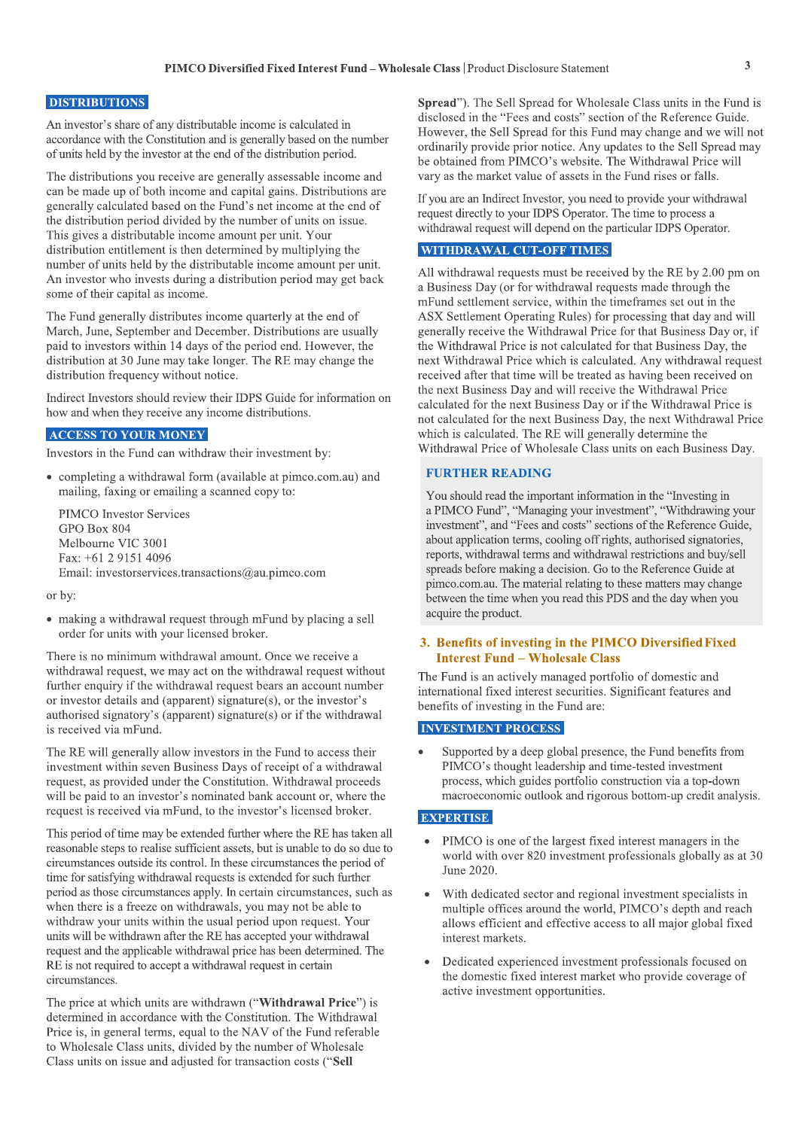#### **DISTRIBUTIONS**

An investor's share of any distributable income is calculated in accordance with the Constitution and is generally based on the number of units held by the investor at the end of the distribution period.

The distributions you receive are generally assessable income and can be made up of both income and capital gains. Distributions are generally calculated based on the Fund's net income at the end of the distribution period divided by the number of units on issue. This gives a distributable income amount per unit. Your distribution entitlement is then determined by multiplying the number of units held by the distributable income amount per unit. An investor who invests during a distribution period may get back some of their capital as income.

The Fund generally distributes income quarterly at the end of March, June, September and December. Distributions are usually paid to investors within 14 days of the period end. However, the distribution at 30 June may take longer. The RE may change the distribution frequency without notice.

Indirect Investors should review their IDPS Guide for information on how and when they receive any income distributions.

#### **ACCESS TO YOUR MONEY**

Investors in the Fund can withdraw their investment by:

• completing a withdrawal form (available at pimco.com.au) and mailing, faxing or emailing a scanned copy to:

**PIMCO** Investor Services GPO Box 804 Melbourne VIC 3001 Fax: +61 2 9151 4096 Email: investorservices.transactions@au.pimco.com

or by:

• making a withdrawal request through mFund by placing a sell order for units with your licensed broker.

There is no minimum withdrawal amount. Once we receive a withdrawal request, we may act on the withdrawal request without further enquiry if the withdrawal request bears an account number or investor details and (apparent) signature(s), or the investor's authorised signatory's (apparent) signature( $s$ ) or if the withdrawal is received via mFund.

The RE will generally allow investors in the Fund to access their investment within seven Business Days of receipt of a withdrawal request, as provided under the Constitution. Withdrawal proceeds will be paid to an investor's nominated bank account or, where the request is received via mFund, to the investor's licensed broker.

This period of time may be extended further where the RE has taken all reasonable steps to realise sufficient assets, but is unable to do so due to circumstances outside its control. In these circumstances the period of time for satisfying withdrawal requests is extended for such further period as those circumstances apply. In certain circumstances, such as when there is a freeze on withdrawals, you may not be able to withdraw your units within the usual period upon request. Your units will be withdrawn after the RE has accepted your withdrawal request and the applicable withdrawal price has been determined. The RE is not required to accept a withdrawal request in certain circumstances.

The price at which units are withdrawn ("Withdrawal Price") is determined in accordance with the Constitution. The Withdrawal Price is, in general terms, equal to the NAV of the Fund referable to Wholesale Class units, divided by the number of Wholesale Class units on issue and adjusted for transaction costs ("Sell

**Spread**"). The Sell Spread for Wholesale Class units in the Fund is disclosed in the "Fees and costs" section of the Reference Guide. However, the Sell Spread for this Fund may change and we will not ordinarily provide prior notice. Any updates to the Sell Spread may be obtained from PIMCO's website. The Withdrawal Price will vary as the market value of assets in the Fund rises or falls.

If you are an Indirect Investor, you need to provide your withdrawal request directly to your IDPS Operator. The time to process a withdrawal request will depend on the particular IDPS Operator.

#### **WITHDRAWAL CUT-OFF TIMES**

All withdrawal requests must be received by the RE by 2.00 pm on a Business Day (or for withdrawal requests made through the mFund settlement service, within the timeframes set out in the ASX Settlement Operating Rules) for processing that day and will generally receive the Withdrawal Price for that Business Day or, if the Withdrawal Price is not calculated for that Business Day, the next Withdrawal Price which is calculated. Any withdrawal request received after that time will be treated as having been received on the next Business Day and will receive the Withdrawal Price calculated for the next Business Day or if the Withdrawal Price is not calculated for the next Business Day, the next Withdrawal Price which is calculated. The RE will generally determine the Withdrawal Price of Wholesale Class units on each Business Day.

#### **FURTHER READING**

You should read the important information in the "Investing in a PIMCO Fund", "Managing your investment", "Withdrawing your investment", and "Fees and costs" sections of the Reference Guide, about application terms, cooling off rights, authorised signatories, reports, withdrawal terms and withdrawal restrictions and buy/sell spreads before making a decision. Go to the Reference Guide at pimco.com.au. The material relating to these matters may change between the time when you read this PDS and the day when you acquire the product.

#### 3. Benefits of investing in the PIMCO Diversified Fixed **Interest Fund - Wholesale Class**

The Fund is an actively managed portfolio of domestic and international fixed interest securities. Significant features and benefits of investing in the Fund are:

#### **INVESTMENT PROCESS**

Supported by a deep global presence, the Fund benefits from PIMCO's thought leadership and time-tested investment process, which guides portfolio construction via a top-down macroeconomic outlook and rigorous bottom-up credit analysis.

#### **EXPERTISE**

- PIMCO is one of the largest fixed interest managers in the world with over 820 investment professionals globally as at 30 June 2020.
- With dedicated sector and regional investment specialists in multiple offices around the world, PIMCO's depth and reach allows efficient and effective access to all major global fixed interest markets.
- Dedicated experienced investment professionals focused on the domestic fixed interest market who provide coverage of active investment opportunities.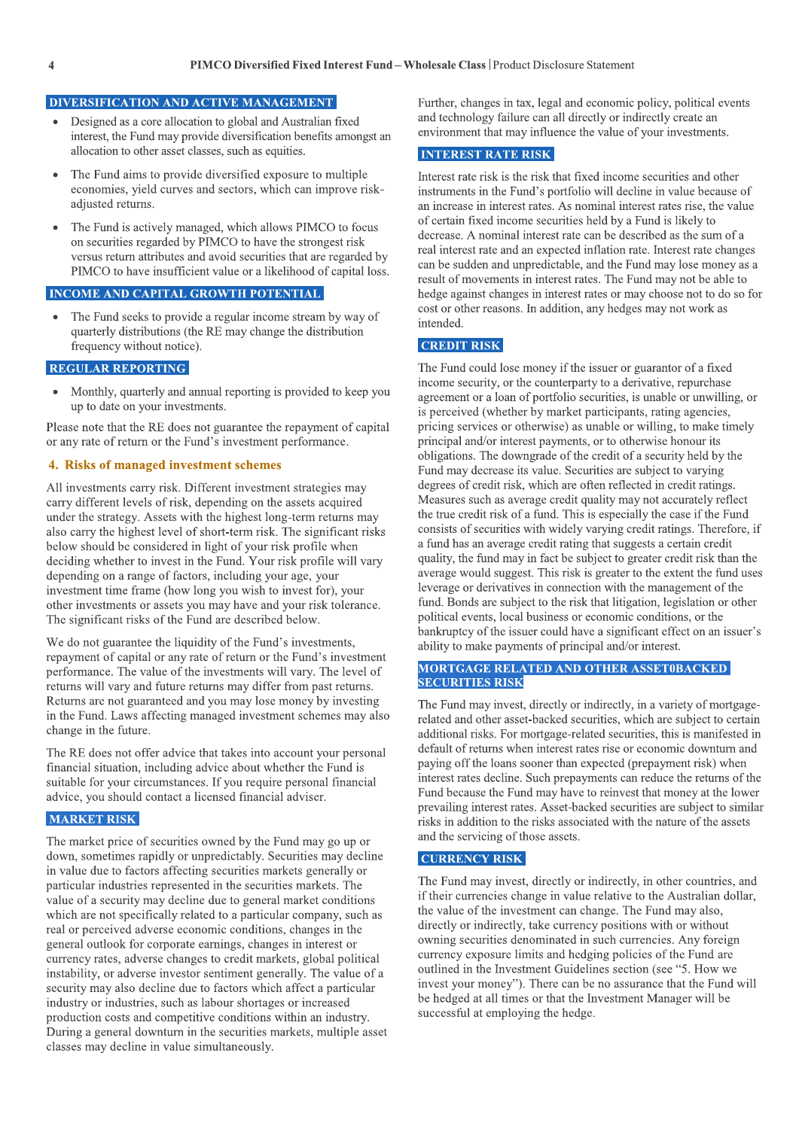#### DIVERSIFICATION AND ACTIVE MANAGEMENT

- Designed as a core allocation to global and Australian fixed interest, the Fund may provide diversification benefits amongst an allocation to other asset classes, such as equities.
- The Fund aims to provide diversified exposure to multiple economies, yield curves and sectors, which can improve riskadjusted returns.
- The Fund is actively managed, which allows PIMCO to focus on securities regarded by PIMCO to have the strongest risk versus return attributes and avoid securities that are regarded by PIMCO to have insufficient value or a likelihood of capital loss.

#### **INCOME AND CAPITAL GROWTH POTENTIAL**

The Fund seeks to provide a regular income stream by way of quarterly distributions (the RE may change the distribution frequency without notice).

#### **REGULAR REPORTING**

Monthly, quarterly and annual reporting is provided to keep you up to date on your investments.

Please note that the RE does not guarantee the repayment of capital or any rate of return or the Fund's investment performance.

#### 4. Risks of managed investment schemes

All investments carry risk. Different investment strategies may carry different levels of risk, depending on the assets acquired under the strategy. Assets with the highest long-term returns may also carry the highest level of short-term risk. The significant risks below should be considered in light of your risk profile when deciding whether to invest in the Fund. Your risk profile will vary depending on a range of factors, including your age, your investment time frame (how long you wish to invest for), your other investments or assets you may have and your risk tolerance. The significant risks of the Fund are described below.

We do not guarantee the liquidity of the Fund's investments, repayment of capital or any rate of return or the Fund's investment performance. The value of the investments will vary. The level of returns will vary and future returns may differ from past returns. Returns are not guaranteed and you may lose money by investing in the Fund. Laws affecting managed investment schemes may also change in the future.

The RE does not offer advice that takes into account your personal financial situation, including advice about whether the Fund is suitable for your circumstances. If you require personal financial advice, you should contact a licensed financial adviser.

#### **MARKET RISK**

The market price of securities owned by the Fund may go up or down, sometimes rapidly or unpredictably. Securities may decline in value due to factors affecting securities markets generally or particular industries represented in the securities markets. The value of a security may decline due to general market conditions which are not specifically related to a particular company, such as real or perceived adverse economic conditions, changes in the general outlook for corporate earnings, changes in interest or currency rates, adverse changes to credit markets, global political instability, or adverse investor sentiment generally. The value of a security may also decline due to factors which affect a particular industry or industries, such as labour shortages or increased production costs and competitive conditions within an industry. During a general downturn in the securities markets, multiple asset classes may decline in value simultaneously.

Further, changes in tax, legal and economic policy, political events and technology failure can all directly or indirectly create an environment that may influence the value of your investments.

#### **INTEREST RATE RISK**

Interest rate risk is the risk that fixed income securities and other instruments in the Fund's portfolio will decline in value because of an increase in interest rates. As nominal interest rates rise, the value of certain fixed income securities held by a Fund is likely to decrease. A nominal interest rate can be described as the sum of a real interest rate and an expected inflation rate. Interest rate changes can be sudden and unpredictable, and the Fund may lose money as a result of movements in interest rates. The Fund may not be able to hedge against changes in interest rates or may choose not to do so for cost or other reasons. In addition, any hedges may not work as intended.

#### **CREDIT RISK**

The Fund could lose money if the issuer or guarantor of a fixed income security, or the counterparty to a derivative, repurchase agreement or a loan of portfolio securities, is unable or unwilling, or is perceived (whether by market participants, rating agencies, pricing services or otherwise) as unable or willing, to make timely principal and/or interest payments, or to otherwise honour its obligations. The downgrade of the credit of a security held by the Fund may decrease its value. Securities are subject to varying degrees of credit risk, which are often reflected in credit ratings. Measures such as average credit quality may not accurately reflect the true credit risk of a fund. This is especially the case if the Fund consists of securities with widely varying credit ratings. Therefore, if a fund has an average credit rating that suggests a certain credit quality, the fund may in fact be subject to greater credit risk than the average would suggest. This risk is greater to the extent the fund uses leverage or derivatives in connection with the management of the fund. Bonds are subject to the risk that litigation, legislation or other political events, local business or economic conditions, or the bankruptcy of the issuer could have a significant effect on an issuer's ability to make payments of principal and/or interest.

#### **MORTGAGE RELATED AND OTHER ASSET0BACKED SECURITIES RISK**

The Fund may invest, directly or indirectly, in a variety of mortgagerelated and other asset-backed securities, which are subject to certain additional risks. For mortgage-related securities, this is manifested in default of returns when interest rates rise or economic downturn and paying off the loans sooner than expected (prepayment risk) when interest rates decline. Such prepayments can reduce the returns of the Fund because the Fund may have to reinvest that money at the lower prevailing interest rates. Asset-backed securities are subject to similar risks in addition to the risks associated with the nature of the assets and the servicing of those assets.

#### **CURRENCY RISK**

The Fund may invest, directly or indirectly, in other countries, and if their currencies change in value relative to the Australian dollar, the value of the investment can change. The Fund may also, directly or indirectly, take currency positions with or without owning securities denominated in such currencies. Any foreign currency exposure limits and hedging policies of the Fund are outlined in the Investment Guidelines section (see "5. How we invest your money"). There can be no assurance that the Fund will be hedged at all times or that the Investment Manager will be successful at employing the hedge.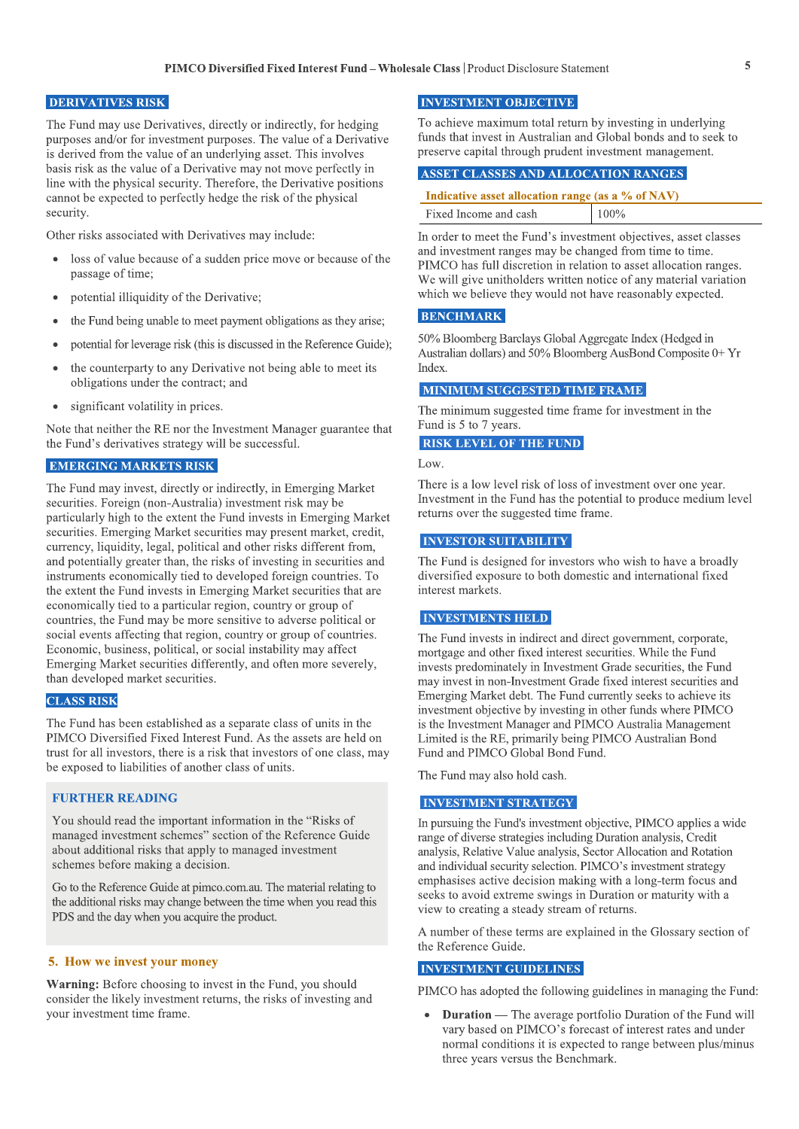#### **DERIVATIVES RISK**

The Fund may use Derivatives, directly or indirectly, for hedging purposes and/or for investment purposes. The value of a Derivative is derived from the value of an underlying asset. This involves basis risk as the value of a Derivative may not move perfectly in line with the physical security. Therefore, the Derivative positions cannot be expected to perfectly hedge the risk of the physical security.

Other risks associated with Derivatives may include:

- loss of value because of a sudden price move or because of the passage of time:
- potential illiquidity of the Derivative;
- the Fund being unable to meet payment obligations as they arise;
- potential for leverage risk (this is discussed in the Reference Guide);
- the counterparty to any Derivative not being able to meet its obligations under the contract; and
- significant volatility in prices.

Note that neither the RE nor the Investment Manager guarantee that the Fund's derivatives strategy will be successful.

#### **EMERGING MARKETS RISK**

The Fund may invest, directly or indirectly, in Emerging Market securities. Foreign (non-Australia) investment risk may be particularly high to the extent the Fund invests in Emerging Market securities. Emerging Market securities may present market, credit, currency, liquidity, legal, political and other risks different from, and potentially greater than, the risks of investing in securities and instruments economically tied to developed foreign countries. To the extent the Fund invests in Emerging Market securities that are economically tied to a particular region, country or group of countries, the Fund may be more sensitive to adverse political or social events affecting that region, country or group of countries. Economic, business, political, or social instability may affect Emerging Market securities differently, and often more severely, than developed market securities.

#### **CLASS RISK**

The Fund has been established as a separate class of units in the PIMCO Diversified Fixed Interest Fund. As the assets are held on trust for all investors, there is a risk that investors of one class, may be exposed to liabilities of another class of units.

#### **FURTHER READING**

You should read the important information in the "Risks of managed investment schemes" section of the Reference Guide about additional risks that apply to managed investment schemes before making a decision.

Go to the Reference Guide at pimco.com.au. The material relating to the additional risks may change between the time when you read this PDS and the day when you acquire the product.

#### 5. How we invest your money

Warning: Before choosing to invest in the Fund, you should consider the likely investment returns, the risks of investing and your investment time frame.

#### **INVESTMENT OBJECTIVE**

To achieve maximum total return by investing in underlying funds that invest in Australian and Global bonds and to seek to preserve capital through prudent investment management.

#### ASSET CLASSES AND ALLOCATION RANGES

| Indicative asset allocation range (as a % of NAV) |         |  |
|---------------------------------------------------|---------|--|
| Fixed Income and cash                             | $100\%$ |  |

In order to meet the Fund's investment objectives, asset classes and investment ranges may be changed from time to time. PIMCO has full discretion in relation to asset allocation ranges. We will give unitholders written notice of any material variation which we believe they would not have reasonably expected.

#### **BENCHMARK**

50% Bloomberg Barclays Global Aggregate Index (Hedged in Australian dollars) and 50% Bloomberg AusBond Composite 0+ Yr Index.

#### **MINIMUM SUGGESTED TIME FRAME**

The minimum suggested time frame for investment in the Fund is 5 to 7 years.

#### **RISK LEVEL OF THE FUND**

Low.

There is a low level risk of loss of investment over one year. Investment in the Fund has the potential to produce medium level returns over the suggested time frame.

#### **INVESTOR SUITABILITY**

The Fund is designed for investors who wish to have a broadly diversified exposure to both domestic and international fixed interest markets.

#### **INVESTMENTS HELD**

The Fund invests in indirect and direct government, corporate, mortgage and other fixed interest securities. While the Fund invests predominately in Investment Grade securities, the Fund may invest in non-Investment Grade fixed interest securities and Emerging Market debt. The Fund currently seeks to achieve its investment objective by investing in other funds where PIMCO is the Investment Manager and PIMCO Australia Management Limited is the RE, primarily being PIMCO Australian Bond Fund and PIMCO Global Bond Fund.

The Fund may also hold cash.

#### **INVESTMENT STRATEGY**

In pursuing the Fund's investment objective, PIMCO applies a wide range of diverse strategies including Duration analysis, Credit analysis, Relative Value analysis, Sector Allocation and Rotation and individual security selection. PIMCO's investment strategy emphasises active decision making with a long-term focus and seeks to avoid extreme swings in Duration or maturity with a view to creating a steady stream of returns.

A number of these terms are explained in the Glossary section of the Reference Guide.

#### **INVESTMENT GUIDELINES**

PIMCO has adopted the following guidelines in managing the Fund:

**Duration** — The average portfolio Duration of the Fund will vary based on PIMCO's forecast of interest rates and under normal conditions it is expected to range between plus/minus three years versus the Benchmark.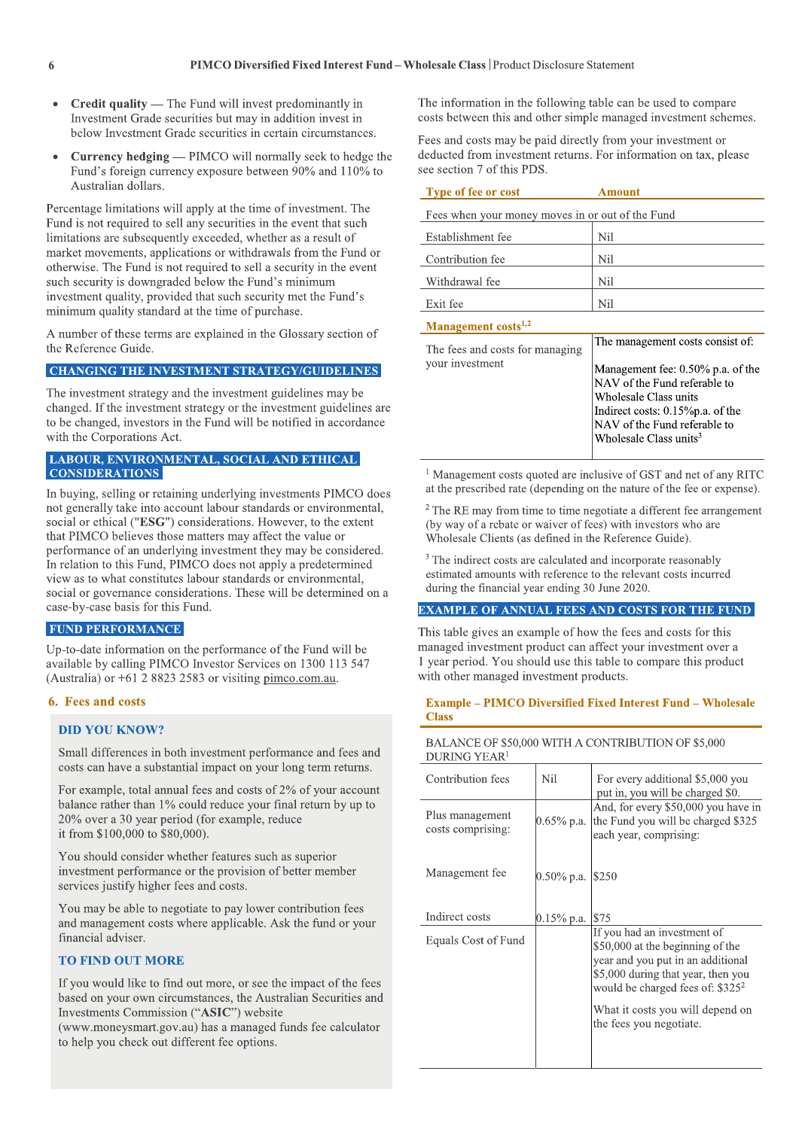- Credit quality The Fund will invest predominantly in Investment Grade securities but may in addition invest in below Investment Grade securities in certain circumstances.
- **Currency hedging** PIMCO will normally seek to hedge the Fund's foreign currency exposure between 90% and 110% to Australian dollars.

Percentage limitations will apply at the time of investment. The Fund is not required to sell any securities in the event that such limitations are subsequently exceeded, whether as a result of market movements, applications or withdrawals from the Fund or otherwise. The Fund is not required to sell a security in the event such security is downgraded below the Fund's minimum investment quality, provided that such security met the Fund's minimum quality standard at the time of purchase.

A number of these terms are explained in the Glossary section of the Reference Guide.

#### **CHANGING THE INVESTMENT STRATEGY/GUIDELINES**

The investment strategy and the investment guidelines may be changed. If the investment strategy or the investment guidelines are to be changed, investors in the Fund will be notified in accordance with the Corporations Act.

#### LABOUR, ENVIRONMENTAL, SOCIAL AND ETHICAL **CONSIDERATIONS**

In buying, selling or retaining underlying investments PIMCO does not generally take into account labour standards or environmental, social or ethical ("ESG") considerations. However, to the extent that PIMCO believes those matters may affect the value or performance of an underlying investment they may be considered. In relation to this Fund, PIMCO does not apply a predetermined view as to what constitutes labour standards or environmental, social or governance considerations. These will be determined on a case-by-case basis for this Fund.

#### **FUND PERFORMANCE**

Up-to-date information on the performance of the Fund will be available by calling PIMCO Investor Services on 1300 113 547 (Australia) or  $+61$  2 8823 2583 or visiting pimco.com.au.

#### 6. Fees and costs

#### **DID YOU KNOW?**

Small differences in both investment performance and fees and costs can have a substantial impact on your long term returns.

For example, total annual fees and costs of 2% of your account balance rather than 1% could reduce your final return by up to 20% over a 30 year period (for example, reduce it from \$100,000 to \$80,000).

You should consider whether features such as superior investment performance or the provision of better member services justify higher fees and costs.

You may be able to negotiate to pay lower contribution fees and management costs where applicable. Ask the fund or your financial adviser.

#### **TO FIND OUT MORE**

If you would like to find out more, or see the impact of the fees based on your own circumstances, the Australian Securities and Investments Commission ("ASIC") website

(www.moneysmart.gov.au) has a managed funds fee calculator to help you check out different fee options.

The information in the following table can be used to compare costs between this and other simple managed investment schemes.

Fees and costs may be paid directly from your investment or deducted from investment returns. For information on tax, please see section 7 of this PDS.

| <b>Type of fee or cost</b>                         | Amount                                                                                                                                                                                                   |  |  |  |
|----------------------------------------------------|----------------------------------------------------------------------------------------------------------------------------------------------------------------------------------------------------------|--|--|--|
| Fees when your money moves in or out of the Fund   |                                                                                                                                                                                                          |  |  |  |
| Establishment fee                                  | Nil                                                                                                                                                                                                      |  |  |  |
| Contribution fee                                   | Nil                                                                                                                                                                                                      |  |  |  |
| Withdrawal fee                                     | Nil                                                                                                                                                                                                      |  |  |  |
| Exit fee                                           | Nil                                                                                                                                                                                                      |  |  |  |
| Management costs <sup>1,2</sup>                    |                                                                                                                                                                                                          |  |  |  |
| The fees and costs for managing<br>your investment | The management costs consist of:                                                                                                                                                                         |  |  |  |
|                                                    | Management fee: 0.50% p.a. of the<br>NAV of the Fund referable to<br>Wholesale Class units<br>Indirect costs: $0.15\%$ p.a. of the<br>NAV of the Fund referable to<br>Wholesale Class units <sup>3</sup> |  |  |  |

<sup>1</sup> Management costs quoted are inclusive of GST and net of any RITC at the prescribed rate (depending on the nature of the fee or expense).

 $2$  The RE may from time to time negotiate a different fee arrangement (by way of a rebate or waiver of fees) with investors who are Wholesale Clients (as defined in the Reference Guide).

<sup>3</sup> The indirect costs are calculated and incorporate reasonably estimated amounts with reference to the relevant costs incurred during the financial year ending 30 June 2020.

#### **EXAMPLE OF ANNUAL FEES AND COSTS FOR THE FUND**

This table gives an example of how the fees and costs for this managed investment product can affect your investment over a 1 year period. You should use this table to compare this product with other managed investment products.

#### **Example – PIMCO Diversified Fixed Interest Fund – Wholesale Class**

| BALANCE OF \$50,000 WITH A CONTRIBUTION OF \$5,000 |  |  |
|----------------------------------------------------|--|--|
| DURING YEAR <sup>1</sup>                           |  |  |

| Contribution fees                    | Nil           | For every additional \$5,000 you<br>put in, you will be charged \$0.                                                                                                                                                                            |
|--------------------------------------|---------------|-------------------------------------------------------------------------------------------------------------------------------------------------------------------------------------------------------------------------------------------------|
| Plus management<br>costs comprising: | $0.65\%$ p.a. | And, for every \$50,000 you have in<br>the Fund you will be charged \$325<br>each year, comprising:                                                                                                                                             |
| Management fee                       | $0.50\%$ p.a. | \$250                                                                                                                                                                                                                                           |
| Indirect costs                       | $0.15\%$ p.a. | \$75                                                                                                                                                                                                                                            |
| Equals Cost of Fund                  |               | If you had an investment of<br>\$50,000 at the beginning of the<br>year and you put in an additional<br>\$5,000 during that year, then you<br>would be charged fees of: $$325^2$<br>What it costs you will depend on<br>the fees you negotiate. |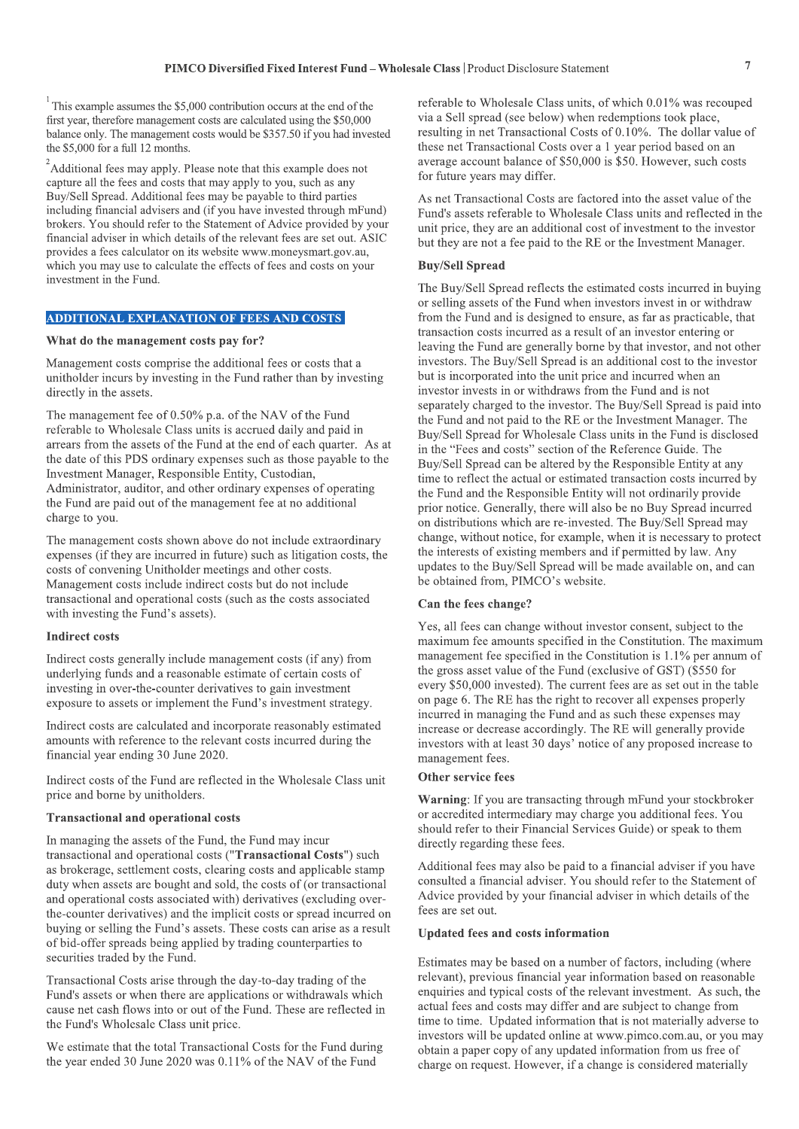<sup>1</sup>This example assumes the \$5,000 contribution occurs at the end of the first year, therefore management costs are calculated using the \$50,000 balance only. The management costs would be \$357.50 if you had invested the \$5,000 for a full 12 months.

<sup>2</sup>Additional fees may apply. Please note that this example does not capture all the fees and costs that may apply to you, such as any Buy/Sell Spread. Additional fees may be payable to third parties including financial advisers and (if you have invested through mFund) brokers. You should refer to the Statement of Advice provided by your financial adviser in which details of the relevant fees are set out. ASIC provides a fees calculator on its website www.moneysmart.gov.au, which you may use to calculate the effects of fees and costs on your investment in the Fund.

#### **ADDITIONAL EXPLANATION OF FEES AND COSTS**

#### What do the management costs pay for?

Management costs comprise the additional fees or costs that a unitholder incurs by investing in the Fund rather than by investing directly in the assets.

The management fee of 0.50% p.a. of the NAV of the Fund referable to Wholesale Class units is accrued daily and paid in arrears from the assets of the Fund at the end of each quarter. As at the date of this PDS ordinary expenses such as those payable to the Investment Manager, Responsible Entity, Custodian, Administrator, auditor, and other ordinary expenses of operating the Fund are paid out of the management fee at no additional charge to you.

The management costs shown above do not include extraordinary expenses (if they are incurred in future) such as litigation costs, the costs of convening Unitholder meetings and other costs. Management costs include indirect costs but do not include transactional and operational costs (such as the costs associated with investing the Fund's assets).

#### **Indirect costs**

Indirect costs generally include management costs (if any) from underlying funds and a reasonable estimate of certain costs of investing in over-the-counter derivatives to gain investment exposure to assets or implement the Fund's investment strategy.

Indirect costs are calculated and incorporate reasonably estimated amounts with reference to the relevant costs incurred during the financial year ending 30 June 2020.

Indirect costs of the Fund are reflected in the Wholesale Class unit price and borne by unitholders.

#### **Transactional and operational costs**

In managing the assets of the Fund, the Fund may incur transactional and operational costs ("Transactional Costs") such as brokerage, settlement costs, clearing costs and applicable stamp duty when assets are bought and sold, the costs of (or transactional and operational costs associated with) derivatives (excluding overthe-counter derivatives) and the implicit costs or spread incurred on buying or selling the Fund's assets. These costs can arise as a result of bid-offer spreads being applied by trading counterparties to securities traded by the Fund.

Transactional Costs arise through the day-to-day trading of the Fund's assets or when there are applications or withdrawals which cause net cash flows into or out of the Fund. These are reflected in the Fund's Wholesale Class unit price.

We estimate that the total Transactional Costs for the Fund during the year ended 30 June 2020 was 0.11% of the NAV of the Fund

referable to Wholesale Class units, of which 0.01% was recouped via a Sell spread (see below) when redemptions took place. resulting in net Transactional Costs of 0.10%. The dollar value of these net Transactional Costs over a 1 year period based on an average account balance of \$50,000 is \$50. However, such costs for future years may differ.

As net Transactional Costs are factored into the asset value of the Fund's assets referable to Wholesale Class units and reflected in the unit price, they are an additional cost of investment to the investor but they are not a fee paid to the RE or the Investment Manager.

#### **Buy/Sell Spread**

The Buy/Sell Spread reflects the estimated costs incurred in buying or selling assets of the Fund when investors invest in or withdraw from the Fund and is designed to ensure, as far as practicable, that transaction costs incurred as a result of an investor entering or leaving the Fund are generally borne by that investor, and not other investors. The Buy/Sell Spread is an additional cost to the investor but is incorporated into the unit price and incurred when an investor invests in or withdraws from the Fund and is not separately charged to the investor. The Buy/Sell Spread is paid into the Fund and not paid to the RE or the Investment Manager. The Buy/Sell Spread for Wholesale Class units in the Fund is disclosed in the "Fees and costs" section of the Reference Guide. The Buy/Sell Spread can be altered by the Responsible Entity at any time to reflect the actual or estimated transaction costs incurred by the Fund and the Responsible Entity will not ordinarily provide prior notice. Generally, there will also be no Buy Spread incurred on distributions which are re-invested. The Buy/Sell Spread may change, without notice, for example, when it is necessary to protect the interests of existing members and if permitted by law. Any updates to the Buy/Sell Spread will be made available on, and can be obtained from, PIMCO's website.

#### Can the fees change?

Yes, all fees can change without investor consent, subject to the maximum fee amounts specified in the Constitution. The maximum management fee specified in the Constitution is 1.1% per annum of the gross asset value of the Fund (exclusive of GST) (\$550 for every \$50,000 invested). The current fees are as set out in the table on page 6. The RE has the right to recover all expenses properly incurred in managing the Fund and as such these expenses may increase or decrease accordingly. The RE will generally provide investors with at least 30 days' notice of any proposed increase to management fees.

#### Other service fees

Warning: If you are transacting through mFund your stockbroker or accredited intermediary may charge you additional fees. You should refer to their Financial Services Guide) or speak to them directly regarding these fees.

Additional fees may also be paid to a financial adviser if you have consulted a financial adviser. You should refer to the Statement of Advice provided by your financial adviser in which details of the fees are set out.

#### **Updated fees and costs information**

Estimates may be based on a number of factors, including (where relevant), previous financial year information based on reasonable enquiries and typical costs of the relevant investment. As such, the actual fees and costs may differ and are subject to change from time to time. Updated information that is not materially adverse to investors will be updated online at www.pimco.com.au, or you may obtain a paper copy of any updated information from us free of charge on request. However, if a change is considered materially